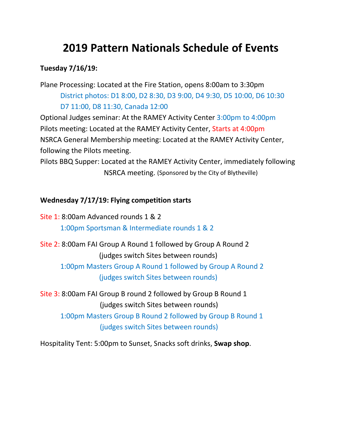# **2019 Pattern Nationals Schedule of Events**

# **Tuesday 7/16/19:**

Plane Processing: Located at the Fire Station, opens 8:00am to 3:30pm District photos: D1 8:00, D2 8:30, D3 9:00, D4 9:30, D5 10:00, D6 10:30 D7 11:00, D8 11:30, Canada 12:00

Optional Judges seminar: At the RAMEY Activity Center 3:00pm to 4:00pm Pilots meeting: Located at the RAMEY Activity Center, Starts at 4:00pm NSRCA General Membership meeting: Located at the RAMEY Activity Center, following the Pilots meeting.

Pilots BBQ Supper: Located at the RAMEY Activity Center, immediately following NSRCA meeting. (Sponsored by the City of Blytheville)

#### **Wednesday 7/17/19: Flying competition starts**

Site 1: 8:00am Advanced rounds 1 & 2 1:00pm Sportsman & Intermediate rounds 1 & 2 Site 2: 8:00am FAI Group A Round 1 followed by Group A Round 2 (judges switch Sites between rounds) 1:00pm Masters Group A Round 1 followed by Group A Round 2 (judges switch Sites between rounds)

Site 3: 8:00am FAI Group B round 2 followed by Group B Round 1 (judges switch Sites between rounds) 1:00pm Masters Group B Round 2 followed by Group B Round 1 (judges switch Sites between rounds)

Hospitality Tent: 5:00pm to Sunset, Snacks soft drinks, **Swap shop**.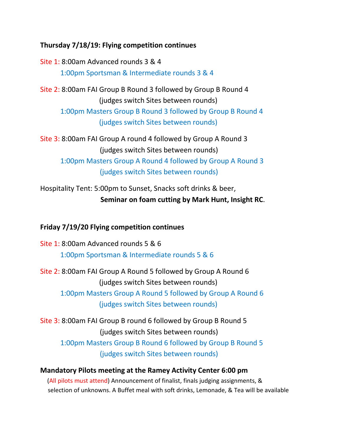### **Thursday 7/18/19: Flying competition continues**

Site 1: 8:00am Advanced rounds 3 & 4 1:00pm Sportsman & Intermediate rounds 3 & 4

Site 2: 8:00am FAI Group B Round 3 followed by Group B Round 4 (judges switch Sites between rounds)

1:00pm Masters Group B Round 3 followed by Group B Round 4 (judges switch Sites between rounds)

Site 3: 8:00am FAI Group A round 4 followed by Group A Round 3 (judges switch Sites between rounds) 1:00pm Masters Group A Round 4 followed by Group A Round 3

(judges switch Sites between rounds)

Hospitality Tent: 5:00pm to Sunset, Snacks soft drinks & beer, **Seminar on foam cutting by Mark Hunt, Insight RC**.

### **Friday 7/19/20 Flying competition continues**

Site 1: 8:00am Advanced rounds 5 & 6 1:00pm Sportsman & Intermediate rounds 5 & 6

Site 2: 8:00am FAI Group A Round 5 followed by Group A Round 6 (judges switch Sites between rounds)

1:00pm Masters Group A Round 5 followed by Group A Round 6 (judges switch Sites between rounds)

Site 3: 8:00am FAI Group B round 6 followed by Group B Round 5 (judges switch Sites between rounds) 1:00pm Masters Group B Round 6 followed by Group B Round 5 (judges switch Sites between rounds)

#### **Mandatory Pilots meeting at the Ramey Activity Center 6:00 pm** (All pilots must attend) Announcement of finalist, finals judging assignments, & selection of unknowns. A Buffet meal with soft drinks, Lemonade, & Tea will be available